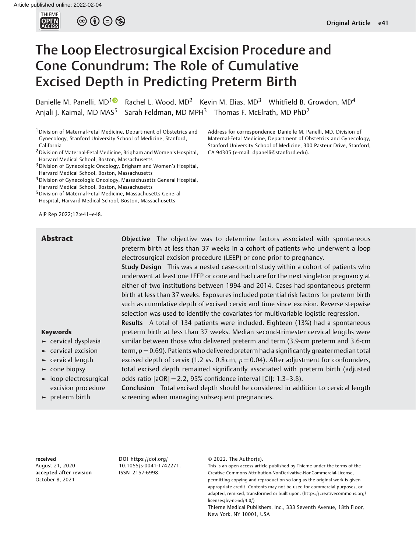

 $\circledcirc$   $\circledcirc$   $\circledcirc$ 

# The Loop Electrosurgical Excision Procedure and Cone Conundrum: The Role of Cumulative Excised Depth in Predicting Preterm Birth

Danielle M. Panelli, MD<sup>10</sup> Rachel L. Wood, MD<sup>2</sup> Kevin M. Elias, MD<sup>3</sup> Whitfield B. Growdon, MD<sup>4</sup> Anjali J. Kaimal, MD MAS<sup>5</sup> Sarah Feldman, MD MPH<sup>3</sup> Thomas F. McElrath, MD PhD<sup>2</sup>

<sup>1</sup> Division of Maternal-Fetal Medicine, Department of Obstetrics and Gynecology, Stanford University School of Medicine, Stanford, California

- 2Division of Maternal-Fetal Medicine, Brigham and Women's Hospital, Harvard Medical School, Boston, Massachusetts
- 3Division of Gynecologic Oncology, Brigham and Women's Hospital, Harvard Medical School, Boston, Massachusetts
- <sup>4</sup> Division of Gynecologic Oncology, Massachusetts General Hospital, Harvard Medical School, Boston, Massachusetts
- 5Division of Maternal-Fetal Medicine, Massachusetts General Hospital, Harvard Medical School, Boston, Massachusetts

AJP Rep 2022;12:e41–e48.

Address for correspondence Danielle M. Panelli, MD, Division of Maternal-Fetal Medicine, Department of Obstetrics and Gynecology, Stanford University School of Medicine, 300 Pasteur Drive, Stanford, CA 94305 (e-mail: [dpanelli@stanford.edu\)](mailto:dpanelli@stanford.edu).

Abstract **Completive** The objective was to determine factors associated with spontaneous preterm birth at less than 37 weeks in a cohort of patients who underwent a loop electrosurgical excision procedure (LEEP) or cone prior to pregnancy.

> Study Design This was a nested case-control study within a cohort of patients who underwent at least one LEEP or cone and had care for the next singleton pregnancy at either of two institutions between 1994 and 2014. Cases had spontaneous preterm birth at less than 37 weeks. Exposures included potential risk factors for preterm birth such as cumulative depth of excised cervix and time since excision. Reverse stepwise selection was used to identify the covariates for multivariable logistic regression.

> Results A total of 134 patients were included. Eighteen (13%) had a spontaneous preterm birth at less than 37 weeks. Median second-trimester cervical lengths were similar between those who delivered preterm and term (3.9-cm preterm and 3.6-cm term,  $p = 0.69$ ). Patients who delivered preterm had a significantly greater median total excised depth of cervix (1.2 vs. 0.8 cm,  $p = 0.04$ ). After adjustment for confounders, total excised depth remained significantly associated with preterm birth (adjusted

# Keywords

- ► cervical dysplasia
- ► cervical excision
- $\blacktriangleright$  cervical length
- ► cone biopsy
- ► loop electrosurgical excision procedure
- ► preterm birth

Conclusion Total excised depth should be considered in addition to cervical length screening when managing subsequent pregnancies.

odds ratio  $[aOR] = 2.2$ , 95% confidence interval  $[CI]: 1.3-3.8$ ).

received August 21, 2020 accepted after revision October 8, 2021

DOI [https://doi.org/](https://doi.org/10.1055/s-0041-1742271) [10.1055/s-0041-1742271](https://doi.org/10.1055/s-0041-1742271). ISSN 2157-6998.

© 2022. The Author(s).

This is an open access article published by Thieme under the terms of the Creative Commons Attribution-NonDerivative-NonCommercial-License, permitting copying and reproduction so long as the original work is given appropriate credit. Contents may not be used for commercial purposes, or adapted, remixed, transformed or built upon. (https://creativecommons.org/ licenses/by-nc-nd/4.0/)

Thieme Medical Publishers, Inc., 333 Seventh Avenue, 18th Floor, New York, NY 10001, USA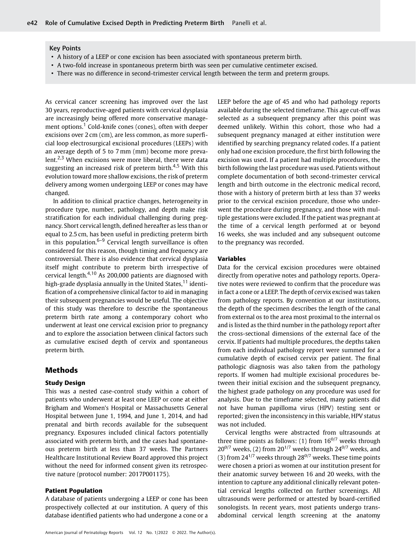#### Key Points

- A history of a LEEP or cone excision has been associated with spontaneous preterm birth.
- A two-fold increase in spontaneous preterm birth was seen per cumulative centimeter excised.
- There was no difference in second-trimester cervical length between the term and preterm groups.

As cervical cancer screening has improved over the last 30 years, reproductive-aged patients with cervical dysplasia are increasingly being offered more conservative management options.<sup>1</sup> Cold-knife cones (cones), often with deeper excisions over 2 cm (cm), are less common, as more superficial loop electrosurgical excisional procedures (LEEPs) with an average depth of 5 to 7 mm (mm) become more prevalent.<sup>2,3</sup> When excisions were more liberal, there were data suggesting an increased risk of preterm birth.<sup>4,5</sup> With this evolution toward more shallow excisions, the risk of preterm delivery among women undergoing LEEP or cones may have changed.

In addition to clinical practice changes, heterogeneity in procedure type, number, pathology, and depth make risk stratification for each individual challenging during pregnancy. Short cervical length, defined hereafter as less than or equal to 2.5 cm, has been useful in predicting preterm birth in this population. $6-9$  Cervical length surveillance is often considered for this reason, though timing and frequency are controversial. There is also evidence that cervical dysplasia itself might contribute to preterm birth irrespective of cervical length.4,10 As 200,000 patients are diagnosed with high-grade dysplasia annually in the United States,<sup>11</sup> identification of a comprehensive clinical factor to aid in managing their subsequent pregnancies would be useful. The objective of this study was therefore to describe the spontaneous preterm birth rate among a contemporary cohort who underwent at least one cervical excision prior to pregnancy and to explore the association between clinical factors such as cumulative excised depth of cervix and spontaneous preterm birth.

# Methods

### Study Design

This was a nested case-control study within a cohort of patients who underwent at least one LEEP or cone at either Brigham and Women's Hospital or Massachusetts General Hospital between June 1, 1994, and June 1, 2014, and had prenatal and birth records available for the subsequent pregnancy. Exposures included clinical factors potentially associated with preterm birth, and the cases had spontaneous preterm birth at less than 37 weeks. The Partners Healthcare Institutional Review Board approved this project without the need for informed consent given its retrospective nature (protocol number: 2017P001175).

#### Patient Population

A database of patients undergoing a LEEP or cone has been prospectively collected at our institution. A query of this database identified patients who had undergone a cone or a LEEP before the age of 45 and who had pathology reports available during the selected timeframe. This age cut-off was selected as a subsequent pregnancy after this point was deemed unlikely. Within this cohort, those who had a subsequent pregnancy managed at either institution were identified by searching pregnancy related codes. If a patient only had one excision procedure, the first birth following the excision was used. If a patient had multiple procedures, the birth following the last procedure was used. Patients without complete documentation of both second-trimester cervical length and birth outcome in the electronic medical record, those with a history of preterm birth at less than 37 weeks prior to the cervical excision procedure, those who underwent the procedure during pregnancy, and those with multiple gestations were excluded. If the patient was pregnant at the time of a cervical length performed at or beyond 16 weeks, she was included and any subsequent outcome to the pregnancy was recorded.

#### Variables

Data for the cervical excision procedures were obtained directly from operative notes and pathology reports. Operative notes were reviewed to confirm that the procedure was in fact a cone or a LEEP. The depth of cervix excised was taken from pathology reports. By convention at our institutions, the depth of the specimen describes the length of the canal from external os to the area most proximal to the internal os and is listed as the third number in the pathology report after the cross-sectional dimensions of the external face of the cervix. If patients had multiple procedures, the depths taken from each individual pathology report were summed for a cumulative depth of excised cervix per patient. The final pathologic diagnosis was also taken from the pathology reports. If women had multiple excisional procedures between their initial excision and the subsequent pregnancy, the highest grade pathology on any procedure was used for analysis. Due to the timeframe selected, many patients did not have human papilloma virus (HPV) testing sent or reported; given the inconsistency in this variable, HPV status was not included.

Cervical lengths were abstracted from ultrasounds at three time points as follows: (1) from  $16^{0/7}$  weeks through  $20^{0/7}$  weeks, (2) from  $20^{1/7}$  weeks through  $24^{0/7}$  weeks, and (3) from  $24^{1/7}$  weeks through  $28^{0/7}$  weeks. These time points were chosen a priori as women at our institution present for their anatomic survey between 16 and 20 weeks, with the intention to capture any additional clinically relevant potential cervical lengths collected on further screenings. All ultrasounds were performed or attested by board-certified sonologists. In recent years, most patients undergo transabdominal cervical length screening at the anatomy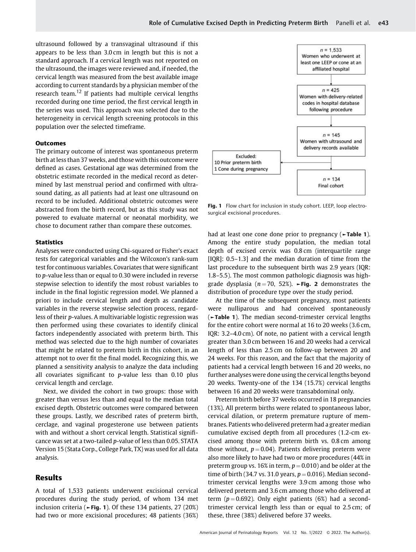ultrasound followed by a transvaginal ultrasound if this appears to be less than 3.0 cm in length but this is not a standard approach. If a cervical length was not reported on the ultrasound, the images were reviewed and, if needed, the cervical length was measured from the best available image according to current standards by a physician member of the research team.<sup>12</sup> If patients had multiple cervical lengths recorded during one time period, the first cervical length in the series was used. This approach was selected due to the heterogeneity in cervical length screening protocols in this population over the selected timeframe.

#### **Outcomes**

The primary outcome of interest was spontaneous preterm birth at less than 37 weeks, and those with this outcome were defined as cases. Gestational age was determined from the obstetric estimate recorded in the medical record as determined by last menstrual period and confirmed with ultrasound dating, as all patients had at least one ultrasound on record to be included. Additional obstetric outcomes were abstracted from the birth record, but as this study was not powered to evaluate maternal or neonatal morbidity, we chose to document rather than compare these outcomes.

### **Statistics**

Analyses were conducted using Chi-squared or Fisher's exact tests for categorical variables and the Wilcoxon's rank-sum test for continuous variables. Covariates that were significant to p-value less than or equal to 0.30 were included in reverse stepwise selection to identify the most robust variables to include in the final logistic regression model. We planned a priori to include cervical length and depth as candidate variables in the reverse stepwise selection process, regardless of their p-values. A multivariable logistic regression was then performed using these covariates to identify clinical factors independently associated with preterm birth. This method was selected due to the high number of covariates that might be related to preterm birth in this cohort, in an attempt not to over fit the final model. Recognizing this, we planned a sensitivity analysis to analyze the data including all covariates significant to  $p$ -value less than 0.10 plus cervical length and cerclage.

Next, we divided the cohort in two groups: those with greater than versus less than and equal to the median total excised depth. Obstetric outcomes were compared between these groups. Lastly, we described rates of preterm birth, cerclage, and vaginal progesterone use between patients with and without a short cervical length. Statistical significance was set at a two-tailed p-value of less than 0.05. STATA Version 15 (Stata Corp., College Park, TX) was used for all data analysis.

# Results

A total of 1,533 patients underwent excisional cervical procedures during the study period, of whom 134 met inclusion criteria ( $\blacktriangleright$ Fig. 1). Of these 134 patients, 27 (20%) had two or more excisional procedures; 48 patients (36%)



Fig. 1 Flow chart for inclusion in study cohort. LEEP, loop electrosurgical excisional procedures.

had at least one cone done prior to pregnancy (►Table 1). Among the entire study population, the median total depth of excised cervix was 0.8 cm (interquartile range [IQR]: 0.5–1.3] and the median duration of time from the last procedure to the subsequent birth was 2.9 years (IQR: 1.8–5.5). The most common pathologic diagnosis was highgrade dysplasia ( $n = 70$ , 52%). Fig. 2 demonstrates the distribution of procedure type over the study period.

At the time of the subsequent pregnancy, most patients were nulliparous and had conceived spontaneously (►Table 1). The median second-trimester cervical lengths for the entire cohort were normal at 16 to 20 weeks (3.6 cm, IQR: 3.2–4.0 cm). Of note, no patient with a cervical length greater than 3.0 cm between 16 and 20 weeks had a cervical length of less than 2.5 cm on follow-up between 20 and 24 weeks. For this reason, and the fact that the majority of patients had a cervical length between 16 and 20 weeks, no further analyses were done using the cervical lengths beyond 20 weeks. Twenty-one of the 134 (15.7%) cervical lengths between 16 and 20 weeks were transabdominal only.

Preterm birth before 37 weeks occurred in 18 pregnancies (13%). All preterm births were related to spontaneous labor, cervical dilation, or preterm premature rupture of membranes. Patients who delivered preterm had a greater median cumulative excised depth from all procedures (1.2-cm excised among those with preterm birth vs. 0.8 cm among those without,  $p = 0.04$ ). Patients delivering preterm were also more likely to have had two or more procedures (44% in preterm group vs. 16% in term,  $p = 0.010$  and be older at the time of birth (34.7 vs. 31.0 years,  $p = 0.016$ ). Median secondtrimester cervical lengths were 3.9 cm among those who delivered preterm and 3.6 cm among those who delivered at term ( $p = 0.692$ ). Only eight patients (6%) had a secondtrimester cervical length less than or equal to 2.5 cm; of these, three (38%) delivered before 37 weeks.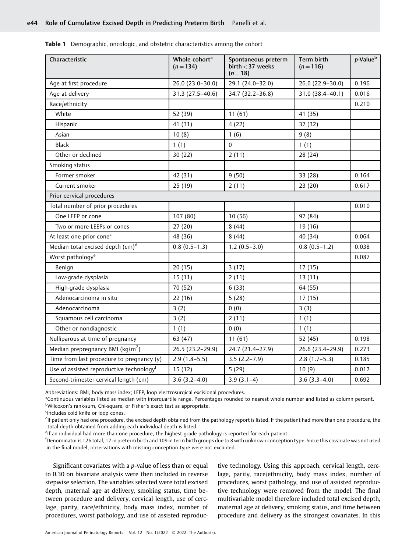|  | Table 1 Demographic, oncologic, and obstetric characteristics among the cohort |  |  |  |  |  |
|--|--------------------------------------------------------------------------------|--|--|--|--|--|
|--|--------------------------------------------------------------------------------|--|--|--|--|--|

| Characteristic                                       | Whole cohort <sup>a</sup><br>$(n=134)$ | Spontaneous preterm<br>$birth < 37$ weeks<br>$(n = 18)$ | Term birth<br>$(n=116)$ | $p$ -Value $\overline{p}$ |
|------------------------------------------------------|----------------------------------------|---------------------------------------------------------|-------------------------|---------------------------|
| Age at first procedure                               | 26.0 (23.0-30.0)                       | 29.1 (24.0-32.0)                                        | 26.0 (22.9-30.0)        | 0.196                     |
| Age at delivery                                      | 31.3 (27.5-40.6)                       | 34.7 (32.2-36.8)                                        | 31.0 (38.4-40.1)        | 0.016                     |
| Race/ethnicity                                       |                                        |                                                         |                         | 0.210                     |
| White                                                | 52 (39)                                | 11(61)                                                  | 41 (35)                 |                           |
| Hispanic                                             | 41 (31)                                | 4(22)                                                   | 37 (32)                 |                           |
| Asian                                                | 10(8)                                  | 1(6)                                                    | 9(8)                    |                           |
| Black                                                | 1(1)                                   | $\Omega$                                                | 1(1)                    |                           |
| Other or declined                                    | 30(22)                                 | 2(11)                                                   | 28 (24)                 |                           |
| Smoking status                                       |                                        |                                                         |                         |                           |
| Former smoker                                        | 42 (31)                                | 9(50)                                                   | 33 (28)                 | 0.164                     |
| Current smoker                                       | 25 (19)                                | 2(11)                                                   | 23(20)                  | 0.617                     |
| Prior cervical procedures                            |                                        |                                                         |                         |                           |
| Total number of prior procedures                     |                                        |                                                         |                         | 0.010                     |
| One LEEP or cone                                     | 107(80)                                | 10(56)                                                  | 97 (84)                 |                           |
| Two or more LEEPs or cones                           | 27(20)                                 | 8(44)                                                   | 19 (16)                 |                           |
| At least one prior cone <sup>c</sup>                 | 48 (36)                                | 8(44)                                                   | 40 (34)                 | 0.064                     |
| Median total excised depth (cm) <sup>d</sup>         | $0.8(0.5-1.3)$                         | $1.2(0.5-3.0)$                                          | $0.8(0.5-1.2)$          | 0.038                     |
| Worst pathology <sup>e</sup>                         |                                        |                                                         |                         | 0.087                     |
| Benign                                               | 20(15)                                 | 3(17)                                                   | 17(15)                  |                           |
| Low-grade dysplasia                                  | 15(11)                                 | 2(11)                                                   | 13(11)                  |                           |
| High-grade dysplasia                                 | 70 (52)                                | 6(33)                                                   | 64 (55)                 |                           |
| Adenocarcinoma in situ                               | 22(16)                                 | 5(28)                                                   | 17(15)                  |                           |
| Adenocarcinoma                                       | 3(2)                                   | 0(0)                                                    | 3(3)                    |                           |
| Squamous cell carcinoma                              | 3(2)                                   | 2(11)                                                   | 1(1)                    |                           |
| Other or nondiagnostic                               | 1(1)                                   | 0(0)                                                    | 1(1)                    |                           |
| Nulliparous at time of pregnancy                     | 63 (47)                                | 11(61)                                                  | 52 (45)                 | 0.198                     |
| Median prepregnancy BMI ( $\text{kg/m}^2$ )          | 26.5 (23.2-29.9)                       | 24.7 (21.4-27.9)                                        | 26.6 (23.4-29.9)        | 0.273                     |
| Time from last procedure to pregnancy (y)            | $2.9(1.8-5.5)$                         | $3.5(2.2 - 7.9)$                                        | $2.8(1.7-5.3)$          | 0.185                     |
| Use of assisted reproductive technology <sup>f</sup> | 15(12)                                 | 5(29)                                                   | 10(9)                   | 0.017                     |
| Second-trimester cervical length (cm)                | $3.6(3.2-4.0)$                         | $3.9(3.1-4)$                                            | $3.6(3.3-4.0)$          | 0.692                     |

Abbreviations: BMI, body mass index; LEEP, loop electrosurgical excisional procedures.

a<br>Continuous variables listed as median with interquartile range. Percentages rounded to nearest whole number and listed as column percent. <sup>b</sup>Wilcoxon's rank-sum, Chi-square, or Fisher's exact test as appropriate.

Includes cold knife or loop cones.

<sup>d</sup>If patient only had one procedure, the excised depth obtained from the pathology report is listed. If the patient had more than one procedure, the total depth obtained from adding each individual depth is listed.

<sup>e</sup>lf an individual had more than one procedure, the highest grade pathology is reported for each patient.

f Denominator is 126 total, 17 in preterm birth and 109 in term birth groups due to 8 with unknown conception type. Since this covariate was not used in the final model, observations with missing conception type were not excluded.

Significant covariates with a p-value of less than or equal to 0.30 on bivariate analysis were then included in reverse stepwise selection. The variables selected were total excised depth, maternal age at delivery, smoking status, time between procedure and delivery, cervical length, use of cerclage, parity, race/ethnicity, body mass index, number of procedures, worst pathology, and use of assisted reproduc-

tive technology. Using this approach, cervical length, cerclage, parity, race/ethnicity, body mass index, number of procedures, worst pathology, and use of assisted reproductive technology were removed from the model. The final multivariable model therefore included total excised depth, maternal age at delivery, smoking status, and time between procedure and delivery as the strongest covariates. In this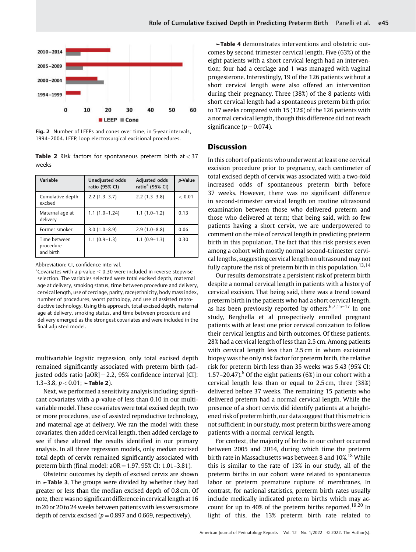

Fig. 2 Number of LEEPs and cones over time, in 5-year intervals, 1994–2004. LEEP, loop electrosurgical excisional procedures.

|       |  |  | <b>Table 2</b> Risk factors for spontaneous preterm birth at $<$ 37 |  |  |
|-------|--|--|---------------------------------------------------------------------|--|--|
| weeks |  |  |                                                                     |  |  |

| Variable                               | Unadjusted odds<br>ratio (95% CI) | Adjusted odds<br>ratio <sup>a</sup> (95% CI) | p-Value |
|----------------------------------------|-----------------------------------|----------------------------------------------|---------|
| Cumulative depth<br>excised            | $2.2(1.3-3.7)$                    | $2.2(1.3-3.8)$                               | < 0.01  |
| Maternal age at<br>delivery            | $1.1(1.0-1.24)$                   | $1.1(1.0-1.2)$                               | 0.13    |
| Former smoker                          | $3.0(1.0-8.9)$                    | $2.9(1.0-8.8)$                               | 0.06    |
| Time between<br>procedure<br>and birth | $1.1(0.9-1.3)$                    | $1.1(0.9-1.3)$                               | 0.30    |

Abbreviation: CI, confidence interval.

<sup>a</sup>Covariates with a p-value  $\leq 0.30$  were included in reverse stepwise selection. The variables selected were total excised depth, maternal age at delivery, smoking status, time between procedure and delivery, cervical length, use of cerclage, parity, race/ethnicity, body mass index, number of procedures, worst pathology, and use of assisted reproductive technology. Using this approach, total excised depth, maternal age at delivery, smoking status, and time between procedure and delivery emerged as the strongest covariates and were included in the final adjusted model.

multivariable logistic regression, only total excised depth remained significantly associated with preterm birth (adjusted odds ratio  $[aOR] = 2.2$ , 95% confidence interval  $[CI]$ : 1.3–3.8,  $p < 0.01$ ;  $\blacktriangleright$  Table 2).

Next, we performed a sensitivity analysis including significant covariates with a p-value of less than 0.10 in our multivariable model. These covariates were total excised depth, two or more procedures, use of assisted reproductive technology, and maternal age at delivery. We ran the model with these covariates, then added cervical length, then added cerclage to see if these altered the results identified in our primary analysis. In all three regression models, only median excised total depth of cervix remained significantly associated with preterm birth (final model:  $aOR = 1.97$ , 95% CI: 1.01–3.81).

Obstetric outcomes by depth of excised cervix are shown in ►Table 3. The groups were divided by whether they had greater or less than the median excised depth of 0.8 cm. Of note, there was no significant difference in cervical length at 16 to 20 or 20 to 24 weeks between patients with less versusmore depth of cervix excised ( $p = 0.897$  and 0.669, respectively).

►Table 4 demonstrates interventions and obstetric outcomes by second trimester cervical length. Five (63%) of the eight patients with a short cervical length had an intervention; four had a cerclage and 1 was managed with vaginal progesterone. Interestingly, 19 of the 126 patients without a short cervical length were also offered an intervention during their pregnancy. Three (38%) of the 8 patients with short cervical length had a spontaneous preterm birth prior to 37 weeks compared with 15 (12%) of the 126 patients with a normal cervical length, though this difference did not reach significance ( $p = 0.074$ ).

# Discussion

In this cohort of patients who underwent at least one cervical excision procedure prior to pregnancy, each centimeter of total excised depth of cervix was associated with a two-fold increased odds of spontaneous preterm birth before 37 weeks. However, there was no significant difference in second-trimester cervical length on routine ultrasound examination between those who delivered preterm and those who delivered at term; that being said, with so few patients having a short cervix, we are underpowered to comment on the role of cervical length in predicting preterm birth in this population. The fact that this risk persists even among a cohort with mostly normal second-trimester cervical lengths, suggesting cervical length on ultrasound may not fully capture the risk of preterm birth in this population.<sup>13,14</sup>

Our results demonstrate a persistent risk of preterm birth despite a normal cervical length in patients with a history of cervical excision. That being said, there was a trend toward preterm birth in the patients who had a short cervical length, as has been previously reported by others. $6,7,15-17$  In one study, Berghella et al prospectively enrolled pregnant patients with at least one prior cervical conization to follow their cervical lengths and birth outcomes. Of these patients, 28% had a cervical length of less than 2.5 cm. Among patients with cervical length less than 2.5 cm in whom excisional biopsy was the only risk factor for preterm birth, the relative risk for preterm birth less than 35 weeks was 5.43 (95% CI: 1.57–20.47).<sup>6</sup> Of the eight patients (6%) in our cohort with a cervical length less than or equal to 2.5 cm, three (38%) delivered before 37 weeks. The remaining 15 patients who delivered preterm had a normal cervical length. While the presence of a short cervix did identify patients at a heightened risk of preterm birth, our data suggest that this metric is not sufficient; in our study, most preterm births were among patients with a normal cervical length.

For context, the majority of births in our cohort occurred between 2005 and 2014, during which time the preterm birth rate in Massachusetts was between 8 and 10%.<sup>18</sup> While this is similar to the rate of 13% in our study, all of the preterm births in our cohort were related to spontaneous labor or preterm premature rupture of membranes. In contrast, for national statistics, preterm birth rates usually include medically indicated preterm births which may account for up to 40% of the preterm births reported.<sup>19,20</sup> In light of this, the 13% preterm birth rate related to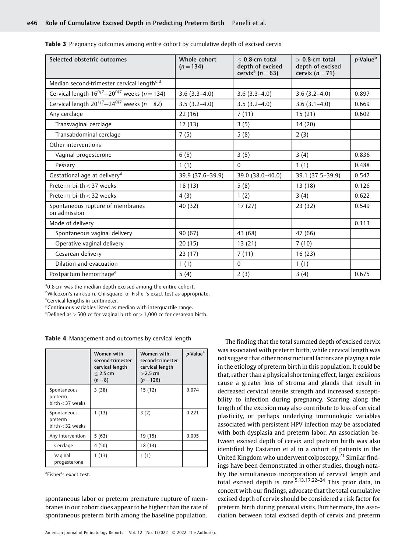| Selected obstetric outcomes                            | Whole cohort<br>$(n=134)$ | $<$ 0.8-cm total<br>depth of excised<br>cervix <sup>a</sup> ( $n = 63$ ) | $> 0.8$ -cm total<br>depth of excised<br>cervix $(n=71)$ | p-Value <sup>b</sup> |
|--------------------------------------------------------|---------------------------|--------------------------------------------------------------------------|----------------------------------------------------------|----------------------|
| Median second-trimester cervical length <sup>c,d</sup> |                           |                                                                          |                                                          |                      |
| Cervical length $16^{0/7} - 20^{0/7}$ weeks (n = 134)  | $3.6(3.3-4.0)$            | $3.6(3.3-4.0)$                                                           | $3.6(3.2-4.0)$                                           | 0.897                |
| Cervical length $20^{1/7} - 24^{0/7}$ weeks (n = 82)   | $3.5(3.2-4.0)$            | $3.5(3.2-4.0)$                                                           | $3.6(3.1-4.0)$                                           | 0.669                |
| Any cerclage                                           | 22(16)                    | 7(11)                                                                    | 15(21)                                                   | 0.602                |
| Transvaginal cerclage                                  | 17(13)                    | 3(5)                                                                     | 14(20)                                                   |                      |
| Transabdominal cerclage                                | 7(5)                      | 5(8)                                                                     | 2(3)                                                     |                      |
| Other interventions                                    |                           |                                                                          |                                                          |                      |
| Vaginal progesterone                                   | 6(5)                      | 3(5)                                                                     | 3(4)                                                     | 0.836                |
| Pessary                                                | 1(1)                      | $\Omega$                                                                 | 1(1)                                                     | 0.488                |
| Gestational age at delivery <sup>d</sup>               | 39.9 (37.6-39.9)          | 39.0 (38.0-40.0)                                                         | 39.1 (37.5 - 39.9)                                       | 0.547                |
| Preterm birth $<$ 37 weeks                             | 18(13)                    | 5(8)                                                                     | 13(18)                                                   | 0.126                |
| Preterm birth < 32 weeks                               | 4(3)                      | 1(2)                                                                     | 3(4)                                                     | 0.622                |
| Spontaneous rupture of membranes<br>on admission       | 40 (32)                   | 17(27)                                                                   | 23(32)                                                   | 0.549                |
| Mode of delivery                                       |                           |                                                                          |                                                          | 0.113                |
| Spontaneous vaginal delivery                           | 90(67)                    | 43 (68)                                                                  | 47 (66)                                                  |                      |
| Operative vaginal delivery                             | 20(15)                    | 13(21)                                                                   | 7(10)                                                    |                      |
| Cesarean delivery                                      | 23(17)                    | 7(11)                                                                    | 16(23)                                                   |                      |
| Dilation and evacuation                                | 1(1)                      | $\mathbf{0}$                                                             | 1(1)                                                     |                      |
| Postpartum hemorrhage <sup>e</sup>                     | 5(4)                      | 2(3)                                                                     | 3(4)                                                     | 0.675                |

| <b>Table 3</b> Pregnancy outcomes among entire cohort by cumulative depth of excised cervix |  |  |  |
|---------------------------------------------------------------------------------------------|--|--|--|
|                                                                                             |  |  |  |

<sup>a</sup>0.8 cm was the median depth excised among the entire cohort.

<sup>b</sup>Wilcoxon's rank-sum, Chi-square, or Fisher's exact test as appropriate.

<sup>c</sup>Cervical lengths in centimeter.

dContinuous variables listed as median with interquartile range.

<sup>e</sup>Defined as  $>$  500 cc for vaginal birth or  $>$  1,000 cc for cesarean birth.

Table 4 Management and outcomes by cervical length

|                                              | Women with<br>second-trimester<br>cervical length<br>$< 2.5$ cm<br>$(n=8)$ | Women with<br>second-trimester<br>cervical length<br>$>$ 2.5 cm<br>$(n=126)$ | p-Value <sup>a</sup> |
|----------------------------------------------|----------------------------------------------------------------------------|------------------------------------------------------------------------------|----------------------|
| Spontaneous<br>preterm<br>$birth < 37$ weeks | 3(38)                                                                      | 15(12)                                                                       | 0.074                |
| Spontaneous<br>preterm<br>birth $<$ 32 weeks | 1(13)                                                                      | 3(2)                                                                         | 0.221                |
| Any Intervention                             | 5(63)                                                                      | 19 (15)                                                                      | 0.005                |
| Cerclage                                     | 4(50)                                                                      | 18 (14)                                                                      |                      |
| Vaginal<br>progesterone                      | 1(13)                                                                      | 1(1)                                                                         |                      |

<sup>a</sup>Fisher's exact test.

spontaneous labor or preterm premature rupture of membranes in our cohort does appear to be higher than the rate of spontaneous preterm birth among the baseline population.

The finding that the total summed depth of excised cervix was associated with preterm birth, while cervical length was not suggest that other nonstructural factors are playing a role in the etiology of preterm birth in this population. It could be that, rather than a physical shortening effect, larger excisions cause a greater loss of stroma and glands that result in decreased cervical tensile strength and increased susceptibility to infection during pregnancy. Scarring along the length of the excision may also contribute to loss of cervical plasticity, or perhaps underlying immunologic variables associated with persistent HPV infection may be associated with both dysplasia and preterm labor. An association between excised depth of cervix and preterm birth was also identified by Castanon et al in a cohort of patients in the United Kingdom who underwent colposcopy.<sup>21</sup> Similar findings have been demonstrated in other studies, though notably the simultaneous incorporation of cervical length and total excised depth is rare.<sup>5,13,17,22-24</sup> This prior data, in concert with our findings, advocate that the total cumulative excised depth of cervix should be considered a risk factor for preterm birth during prenatal visits. Furthermore, the association between total excised depth of cervix and preterm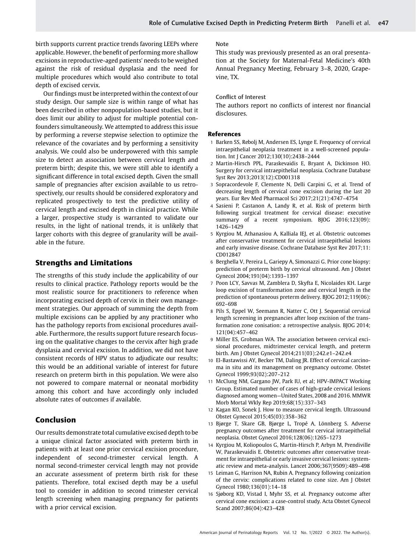birth supports current practice trends favoring LEEPs where applicable. However, the benefit of performing more shallow excisions in reproductive-aged patients' needs to be weighed against the risk of residual dysplasia and the need for multiple procedures which would also contribute to total depth of excised cervix.

Our findings must be interpreted within the context of our study design. Our sample size is within range of what has been described in other nonpopulation-based studies, but it does limit our ability to adjust for multiple potential confounders simultaneously. We attempted to address this issue by performing a reverse stepwise selection to optimize the relevance of the covariates and by performing a sensitivity analysis. We could also be underpowered with this sample size to detect an association between cervical length and preterm birth; despite this, we were still able to identify a significant difference in total excised depth. Given the small sample of pregnancies after excision available to us retrospectively, our results should be considered exploratory and replicated prospectively to test the predictive utility of cervical length and excised depth in clinical practice. While a larger, prospective study is warranted to validate our results, in the light of national trends, it is unlikely that larger cohorts with this degree of granularity will be available in the future.

# Strengths and Limitations

The strengths of this study include the applicability of our results to clinical practice. Pathology reports would be the most realistic source for practitioners to reference when incorporating excised depth of cervix in their own management strategies. Our approach of summing the depth from multiple excisions can be applied by any practitioner who has the pathology reports from excisional procedures available. Furthermore, the results support future research focusing on the qualitative changes to the cervix after high grade dysplasia and cervical excision. In addition, we did not have consistent records of HPV status to adjudicate our results; this would be an additional variable of interest for future research on preterm birth in this population. We were also not powered to compare maternal or neonatal morbidity among this cohort and have accordingly only included absolute rates of outcomes if available.

# Conclusion

Our results demonstrate total cumulative excised depth to be a unique clinical factor associated with preterm birth in patients with at least one prior cervical excision procedure, independent of second-trimester cervical length. A normal second-trimester cervical length may not provide an accurate assessment of preterm birth risk for these patients. Therefore, total excised depth may be a useful tool to consider in addition to second trimester cervical length screening when managing pregnancy for patients with a prior cervical excision.

## Note

This study was previously presented as an oral presentation at the Society for Maternal-Fetal Medicine's 40th Annual Pregnancy Meeting, February 3–8, 2020, Grapevine, TX.

#### Conflict of Interest

The authors report no conflicts of interest nor financial disclosures.

#### References

- 1 Barken SS, Rebolj M, Andersen ES, Lynge E. Frequency of cervical intraepithelial neoplasia treatment in a well-screened population. Int J Cancer 2012;130(10):2438–2444
- 2 Martin-Hirsch PPL, Paraskevaidis E, Bryant A, Dickinson HO. Surgery for cervical intraepithelial neoplasia. Cochrane Database Syst Rev 2013;2013(12):CD001318
- 3 Sopracordevole F, Clemente N, Delli Carpini G, et al. Trend of decreasing length of cervical cone excision during the last 20 years. Eur Rev Med Pharmacol Sci 2017;21(21):4747–4754
- 4 Sasieni P, Castanon A, Landy R, et al. Risk of preterm birth following surgical treatment for cervical disease: executive summary of a recent symposium. BJOG 2016;123(09): 1426–1429
- 5 Kyrgiou M, Athanasiou A, Kalliala IEJ, et al. Obstetric outcomes after conservative treatment for cervical intraepithelial lesions and early invasive disease. Cochrane Database Syst Rev 2017;11: CD012847
- 6 Berghella V, Pereira L, Gariepy A, Simonazzi G. Prior cone biopsy: prediction of preterm birth by cervical ultrasound. Am J Obstet Gynecol 2004;191(04):1393–1397
- 7 Poon LCY, Savvas M, Zamblera D, Skyfta E, Nicolaides KH. Large loop excision of transformation zone and cervical length in the prediction of spontaneous preterm delivery. BJOG 2012;119(06): 692–698
- 8 Pils S, Eppel W, Seemann R, Natter C, Ott J. Sequential cervical length screening in pregnancies after loop excision of the transformation zone conisation: a retrospective analysis. BJOG 2014; 121(04):457–462
- 9 Miller ES, Grobman WA. The association between cervical excisional procedures, midtrimester cervical length, and preterm birth. Am J Obstet Gynecol 2014;211(03):242.e1–242.e4
- 10 El-Bastawissi AY, Becker TM, Daling JR. Effect of cervical carcinoma in situ and its management on pregnancy outcome. Obstet Gynecol 1999;93(02):207–212
- 11 McClung NM, Gargano JW, Park IU, et al; HPV-IMPACT Working Group. Estimated number of cases of high-grade cervical lesions diagnosed among women—United States, 2008 and 2016. MMWR Morb Mortal Wkly Rep 2019;68(15):337–343
- 12 Kagan KO, Sonek J. How to measure cervical length. Ultrasound Obstet Gynecol 2015;45(03):358–362
- 13 Bjørge T, Skare GB, Bjørge L, Tropé A, Lönnberg S. Adverse pregnancy outcomes after treatment for cervical intraepithelial neoplasia. Obstet Gynecol 2016;128(06):1265–1273
- 14 Kyrgiou M, Koliopoulos G, Martin-Hirsch P, Arbyn M, Prendiville W, Paraskevaidis E. Obstetric outcomes after conservative treatment for intraepithelial or early invasive cervical lesions: systematic review and meta-analysis. Lancet 2006;367(9509):489–498
- 15 Leiman G, Harrison NA, Rubin A. Pregnancy following conization of the cervix: complications related to cone size. Am J Obstet Gynecol 1980;136(01):14–18
- 16 Sjøborg KD, Vistad I, Myhr SS, et al. Pregnancy outcome after cervical cone excision: a case-control study. Acta Obstet Gynecol Scand 2007;86(04):423–428